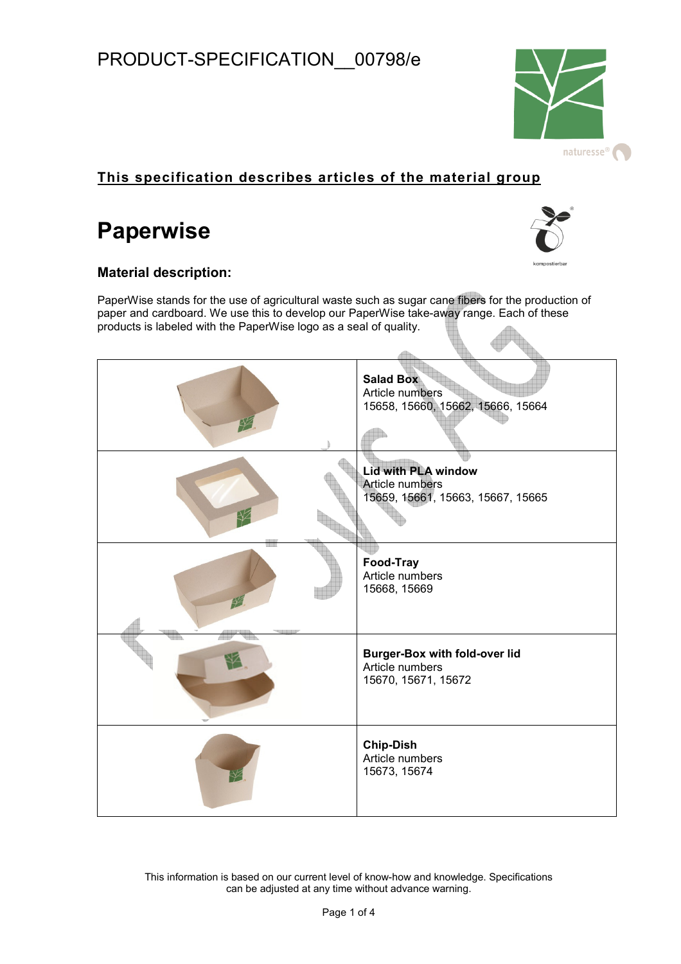### **This specification describes articles of the material group**

# **Paperwise**



naturesse<sup>®</sup>

### **Material description:**

PaperWise stands for the use of agricultural waste such as sugar cane fibers for the production of paper and cardboard. We use this to develop our PaperWise take-away range. Each of these products is labeled with the PaperWise logo as a seal of quality.

| <b>Salad Box</b><br>Article numbers<br>15658, 15660, 15662, 15666, 15664           |
|------------------------------------------------------------------------------------|
| <b>Lid with PLA window</b><br>Article numbers<br>15659, 15661, 15663, 15667, 15665 |
| Food-Tray<br>Article numbers<br>15668, 15669                                       |
| <b>Burger-Box with fold-over lid</b><br>Article numbers<br>15670, 15671, 15672     |
| <b>Chip-Dish</b><br>Article numbers<br>15673, 15674                                |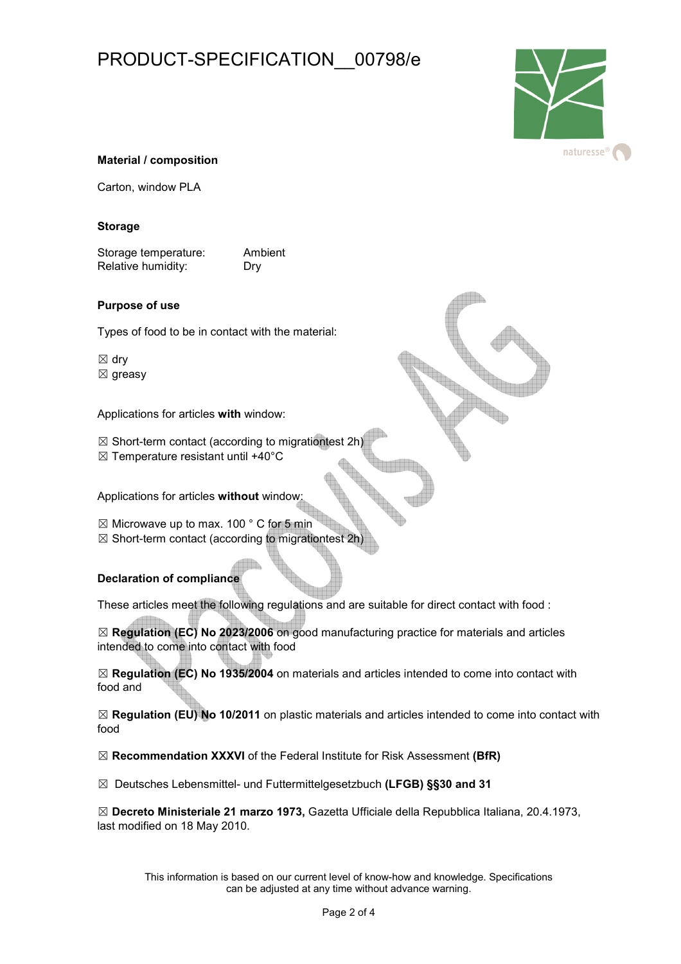## PRODUCT-SPECIFICATION\_\_00798/e



#### **Material / composition**

Carton, window PLA

**Storage** 

Storage temperature: Ambient Relative humidity: Dry

#### **Purpose of use**

Types of food to be in contact with the material:

 $\boxtimes$  dry ☒ greasy

Applications for articles **with** window:

 $\boxtimes$  Short-term contact (according to migrationtest 2h)

 $\boxtimes$  Temperature resistant until +40°C

Applications for articles **without** window:

 $\boxtimes$  Microwave up to max. 100 ° C for 5 min

 $\boxtimes$  Short-term contact (according to migrationtest 2h)

#### **Declaration of compliance**

These articles meet the following regulations and are suitable for direct contact with food :

☒ **Regulation (EC) No 2023/2006** on good manufacturing practice for materials and articles intended to come into contact with food

☒ **Regulation (EC) No 1935/2004** on materials and articles intended to come into contact with food and

☒ **Regulation (EU) No 10/2011** on plastic materials and articles intended to come into contact with food

☒ **Recommendation XXXVI** of the Federal Institute for Risk Assessment **(BfR)**

☒ Deutsches Lebensmittel- und Futtermittelgesetzbuch **(LFGB) §§30 and 31**

☒ **Decreto Ministeriale 21 marzo 1973,** Gazetta Ufficiale della Repubblica Italiana, 20.4.1973, last modified on 18 May 2010.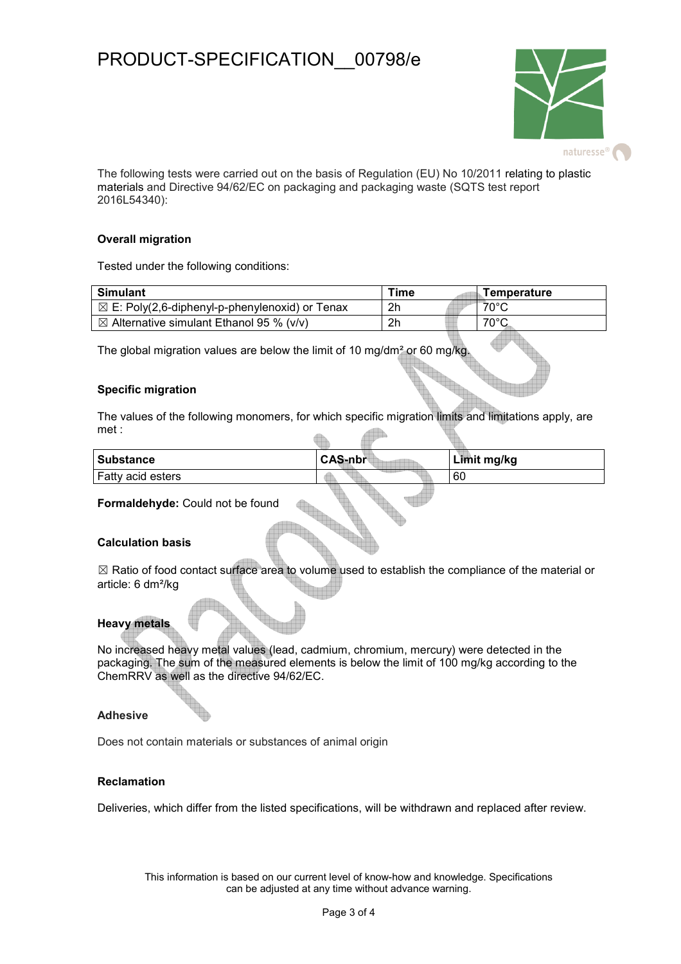## PRODUCT-SPECIFICATION\_\_00798/e



The following tests were carried out on the basis of Regulation (EU) No 10/2011 relating to plastic materials and Directive 94/62/EC on packaging and packaging waste (SQTS test report 2016L54340):

#### **Overall migration**

Tested under the following conditions:

| <b>Simulant</b>                                           | Time | ⊪ Temperature |
|-----------------------------------------------------------|------|---------------|
| $\boxtimes$ E: Poly(2,6-diphenyl-p-phenylenoxid) or Tenax | 2h   | 70°C          |
| $\boxtimes$ Alternative simulant Ethanol 95 % (v/v)       | 2h   | 70°C          |
|                                                           |      |               |

The global migration values are below the limit of 10 mg/dm<sup>2</sup> or 60 mg/kg

#### **Specific migration**

The values of the following monomers, for which specific migration limits and limitations apply, are met :  $\bigoplus$ 

| <b>Substance</b>         | <b>CAS-nbr</b> | Limit mg/kg |
|--------------------------|----------------|-------------|
| <b>Fatty acid esters</b> |                | 60          |

**Formaldehyde:** Could not be found

#### **Calculation basis**

☒ Ratio of food contact surface area to volume used to establish the compliance of the material or article: 6 dm²/kg

#### **Heavy metals**

No increased heavy metal values (lead, cadmium, chromium, mercury) were detected in the packaging. The sum of the measured elements is below the limit of 100 mg/kg according to the ChemRRV as well as the directive 94/62/EC.

#### **Adhesive**

Does not contain materials or substances of animal origin

#### **Reclamation**

Deliveries, which differ from the listed specifications, will be withdrawn and replaced after review.